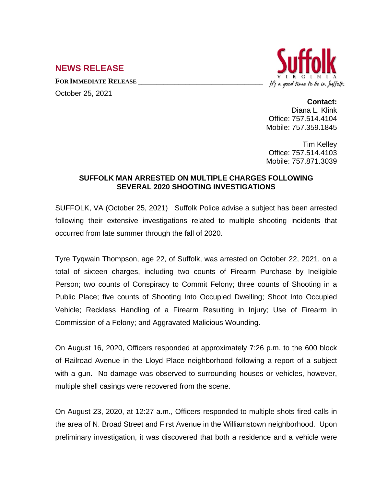## **NEWS RELEASE**

**FOR IMMEDIATE RELEASE \_\_\_\_\_\_\_\_\_\_\_\_\_\_\_\_\_\_\_\_\_\_\_\_\_\_\_\_\_\_\_\_\_\_**

October 25, 2021



## **Contact:**

Diana L. Klink Office: 757.514.4104 Mobile: 757.359.1845

Tim Kelley Office: 757.514.4103 Mobile: 757.871.3039

## **SUFFOLK MAN ARRESTED ON MULTIPLE CHARGES FOLLOWING SEVERAL 2020 SHOOTING INVESTIGATIONS**

SUFFOLK, VA (October 25, 2021) Suffolk Police advise a subject has been arrested following their extensive investigations related to multiple shooting incidents that occurred from late summer through the fall of 2020.

Tyre Tyqwain Thompson, age 22, of Suffolk, was arrested on October 22, 2021, on a total of sixteen charges, including two counts of Firearm Purchase by Ineligible Person; two counts of Conspiracy to Commit Felony; three counts of Shooting in a Public Place; five counts of Shooting Into Occupied Dwelling; Shoot Into Occupied Vehicle; Reckless Handling of a Firearm Resulting in Injury; Use of Firearm in Commission of a Felony; and Aggravated Malicious Wounding.

On August 16, 2020, Officers responded at approximately 7:26 p.m. to the 600 block of Railroad Avenue in the Lloyd Place neighborhood following a report of a subject with a gun. No damage was observed to surrounding houses or vehicles, however, multiple shell casings were recovered from the scene.

On August 23, 2020, at 12:27 a.m., Officers responded to multiple shots fired calls in the area of N. Broad Street and First Avenue in the Williamstown neighborhood. Upon preliminary investigation, it was discovered that both a residence and a vehicle were